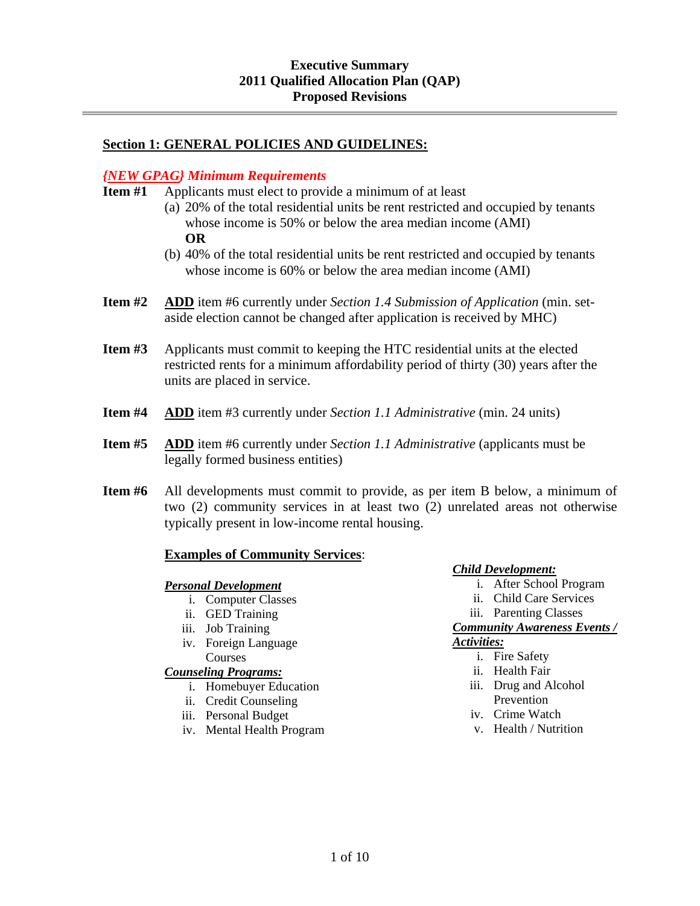# **Section 1: GENERAL POLICIES AND GUIDELINES:**

#### *{NEW GPAG} Minimum Requirements*

- **Item #1** Applicants must elect to provide a minimum of at least
	- (a) 20% of the total residential units be rent restricted and occupied by tenants whose income is 50% or below the area median income (AMI) **OR**
	- (b) 40% of the total residential units be rent restricted and occupied by tenants whose income is 60% or below the area median income (AMI)
- **Item #2 ADD** item #6 currently under *Section 1.4 Submission of Application* (min. setaside election cannot be changed after application is received by MHC)
- **Item #3** Applicants must commit to keeping the HTC residential units at the elected restricted rents for a minimum affordability period of thirty (30) years after the units are placed in service.
- **Item #4 ADD** item #3 currently under *Section 1.1 Administrative* (min. 24 units)
- **Item #5 ADD** item #6 currently under *Section 1.1 Administrative* (applicants must be legally formed business entities)
- **Item #6** All developments must commit to provide, as per item B below, a minimum of two (2) community services in at least two (2) unrelated areas not otherwise typically present in low-income rental housing.

#### **Examples of Community Services**:

#### *Personal Development*

- i. Computer Classes
- ii. GED Training
- iii. Job Training
- iv. Foreign Language Courses

#### *Counseling Programs:*

- i. Homebuyer Education
- ii. Credit Counseling
- iii. Personal Budget
- iv. Mental Health Program

*Child Development:*

- i. After School Program
- ii. Child Care Services
- iii. Parenting Classes

#### *Community Awareness Events / Activities:*

- i. Fire Safety
- ii. Health Fair
- iii. Drug and Alcohol Prevention
- iv. Crime Watch
- v. Health / Nutrition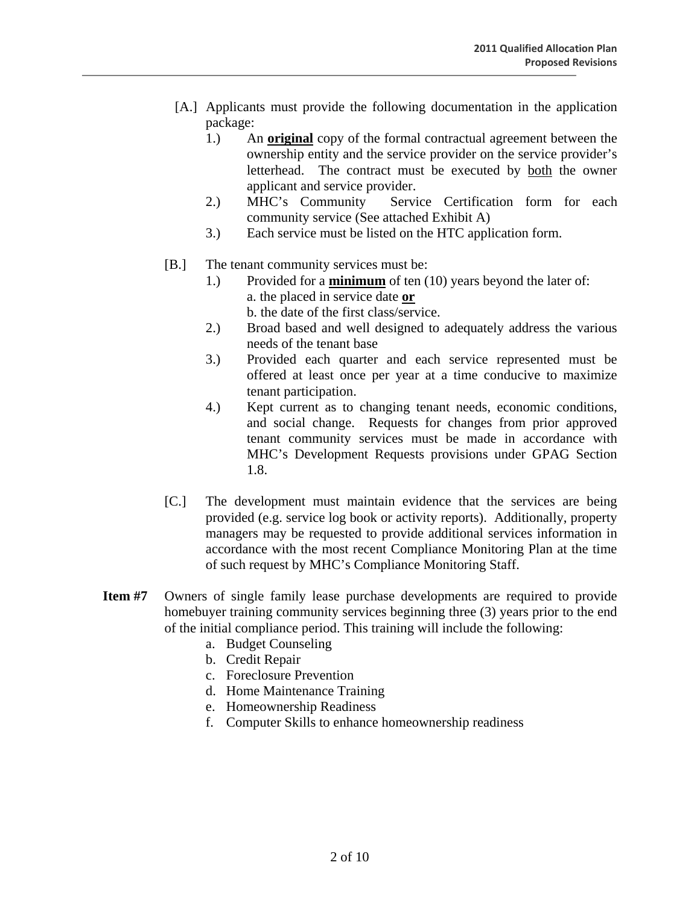- [A.] Applicants must provide the following documentation in the application package:
	- 1.) An **original** copy of the formal contractual agreement between the ownership entity and the service provider on the service provider's letterhead. The contract must be executed by both the owner applicant and service provider.
	- 2.) MHC's Community Service Certification form for each community service (See attached Exhibit A)
	- 3.) Each service must be listed on the HTC application form.
- [B.] The tenant community services must be:

 $\overline{a}$ 

- 1.) Provided for a **minimum** of ten (10) years beyond the later of: a. the placed in service date **or** b. the date of the first class/service.
- 2.) Broad based and well designed to adequately address the various needs of the tenant base
- 3.) Provided each quarter and each service represented must be offered at least once per year at a time conducive to maximize tenant participation.
- 4.) Kept current as to changing tenant needs, economic conditions, and social change. Requests for changes from prior approved tenant community services must be made in accordance with MHC's Development Requests provisions under GPAG Section 1.8.
- [C.] The development must maintain evidence that the services are being provided (e.g. service log book or activity reports). Additionally, property managers may be requested to provide additional services information in accordance with the most recent Compliance Monitoring Plan at the time of such request by MHC's Compliance Monitoring Staff.
- **Item #7** Owners of single family lease purchase developments are required to provide homebuyer training community services beginning three (3) years prior to the end of the initial compliance period. This training will include the following:
	- a. Budget Counseling
	- b. Credit Repair
	- c. Foreclosure Prevention
	- d. Home Maintenance Training
	- e. Homeownership Readiness
	- f. Computer Skills to enhance homeownership readiness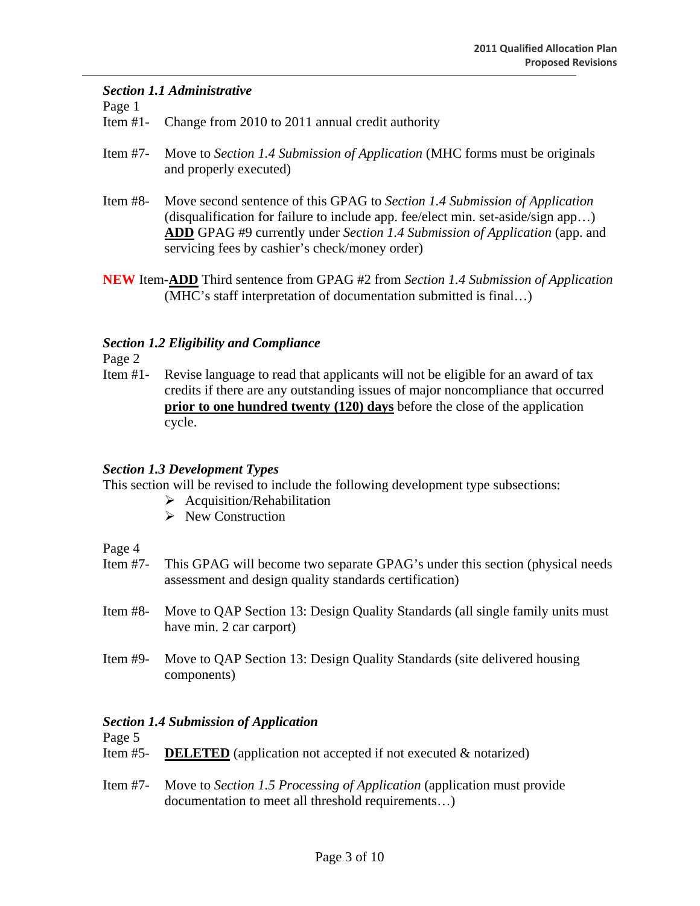#### *Section 1.1 Administrative*

Page 1

Item #1- Change from 2010 to 2011 annual credit authority

- Item #7- Move to *Section 1.4 Submission of Application* (MHC forms must be originals and properly executed)
- Item #8- Move second sentence of this GPAG to *Section 1.4 Submission of Application*  (disqualification for failure to include app. fee/elect min. set-aside/sign app…) **ADD** GPAG #9 currently under *Section 1.4 Submission of Application* (app. and servicing fees by cashier's check/money order)
- **NEW** Item-**ADD** Third sentence from GPAG #2 from *Section 1.4 Submission of Application*  (MHC's staff interpretation of documentation submitted is final…)

#### *Section 1.2 Eligibility and Compliance*

Page 2

Item #1- Revise language to read that applicants will not be eligible for an award of tax credits if there are any outstanding issues of major noncompliance that occurred **prior to one hundred twenty (120) days** before the close of the application cycle.

#### *Section 1.3 Development Types*

This section will be revised to include the following development type subsections:

- $\triangleright$  Acquisition/Rehabilitation
- $\triangleright$  New Construction

Page 4

- Item #7- This GPAG will become two separate GPAG's under this section (physical needs assessment and design quality standards certification)
- Item #8- Move to QAP Section 13: Design Quality Standards (all single family units must have min. 2 car carport)
- Item #9- Move to QAP Section 13: Design Quality Standards (site delivered housing components)

#### *Section 1.4 Submission of Application*

Page 5

- Item #5- **DELETED** (application not accepted if not executed & notarized)
- Item #7- Move to *Section 1.5 Processing of Application* (application must provide documentation to meet all threshold requirements…)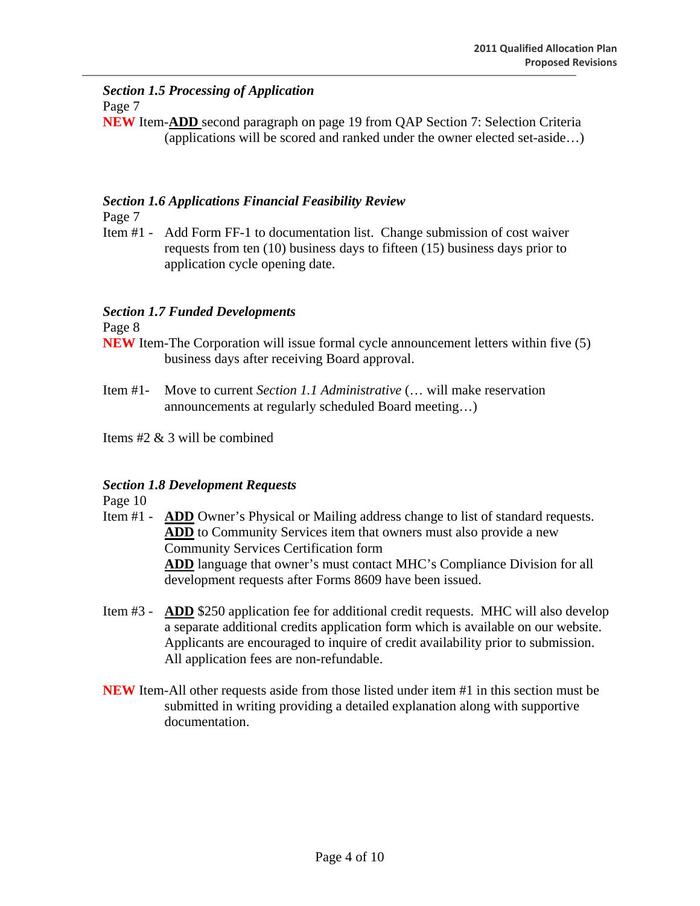#### *Section 1.5 Processing of Application*  Page 7

**NEW** Item-**ADD** second paragraph on page 19 from QAP Section 7: Selection Criteria (applications will be scored and ranked under the owner elected set-aside…)

# *Section 1.6 Applications Financial Feasibility Review*

Page 7

Item #1 - Add Form FF-1 to documentation list. Change submission of cost waiver requests from ten (10) business days to fifteen (15) business days prior to application cycle opening date.

# *Section 1.7 Funded Developments*

Page 8

- **NEW** Item-The Corporation will issue formal cycle announcement letters within five (5) business days after receiving Board approval.
- Item #1- Move to current *Section 1.1 Administrative* (… will make reservation announcements at regularly scheduled Board meeting…)

Items #2 & 3 will be combined

# *Section 1.8 Development Requests*

Page 10

- Item #1 **ADD** Owner's Physical or Mailing address change to list of standard requests. **ADD** to Community Services item that owners must also provide a new Community Services Certification form **ADD** language that owner's must contact MHC's Compliance Division for all development requests after Forms 8609 have been issued.
- Item #3 **ADD** \$250 application fee for additional credit requests. MHC will also develop a separate additional credits application form which is available on our website. Applicants are encouraged to inquire of credit availability prior to submission. All application fees are non-refundable.
- **NEW** Item-All other requests aside from those listed under item #1 in this section must be submitted in writing providing a detailed explanation along with supportive documentation.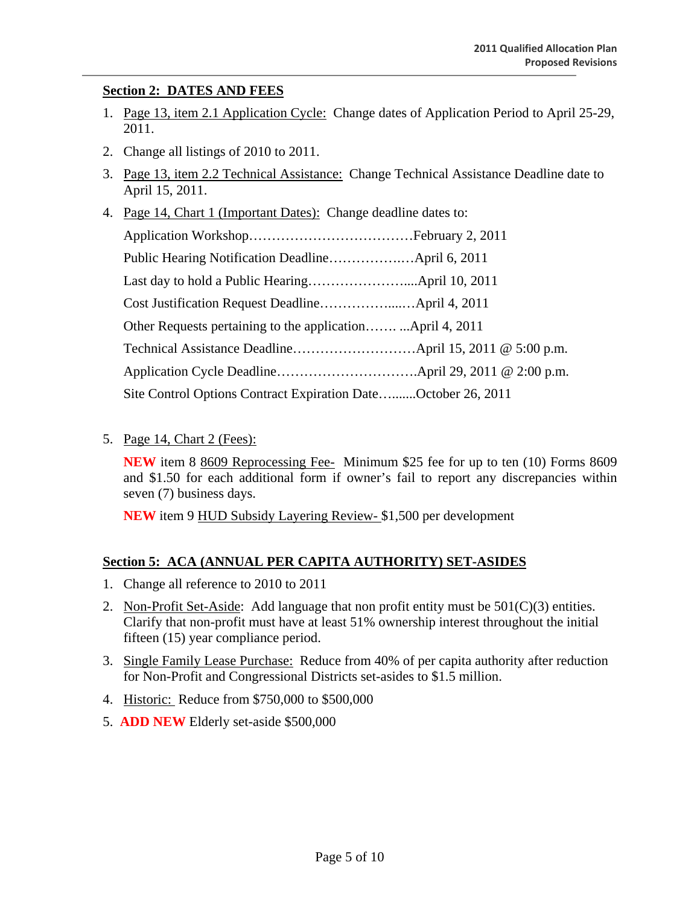# **Section 2: DATES AND FEES**

- 1. Page 13, item 2.1 Application Cycle: Change dates of Application Period to April 25-29, 2011.
- 2. Change all listings of 2010 to 2011.
- 3. Page 13, item 2.2 Technical Assistance: Change Technical Assistance Deadline date to April 15, 2011.
- 4. Page 14, Chart 1 (Important Dates): Change deadline dates to: Application Workshop………………………………February 2, 2011 Public Hearing Notification Deadline…………….…April 6, 2011 Last day to hold a Public Hearing…………………....April 10, 2011 Cost Justification Request Deadline……………....…April 4, 2011 Other Requests pertaining to the application……. ...April 4, 2011 Technical Assistance Deadline………………………April 15, 2011 @ 5:00 p.m. Application Cycle Deadline………………………….April 29, 2011 @ 2:00 p.m. Site Control Options Contract Expiration Date….......October 26, 2011
- 5. Page 14, Chart 2 (Fees):

**NEW** item 8 8609 Reprocessing Fee- Minimum \$25 fee for up to ten (10) Forms 8609 and \$1.50 for each additional form if owner's fail to report any discrepancies within seven (7) business days.

**NEW** item 9 HUD Subsidy Layering Review- \$1,500 per development

# **Section 5: ACA (ANNUAL PER CAPITA AUTHORITY) SET-ASIDES**

- 1. Change all reference to 2010 to 2011
- 2. Non-Profit Set-Aside: Add language that non profit entity must be  $501(C)(3)$  entities. Clarify that non-profit must have at least 51% ownership interest throughout the initial fifteen (15) year compliance period.
- 3. Single Family Lease Purchase: Reduce from 40% of per capita authority after reduction for Non-Profit and Congressional Districts set-asides to \$1.5 million.
- 4. Historic: Reduce from \$750,000 to \$500,000
- 5. **ADD NEW** Elderly set-aside \$500,000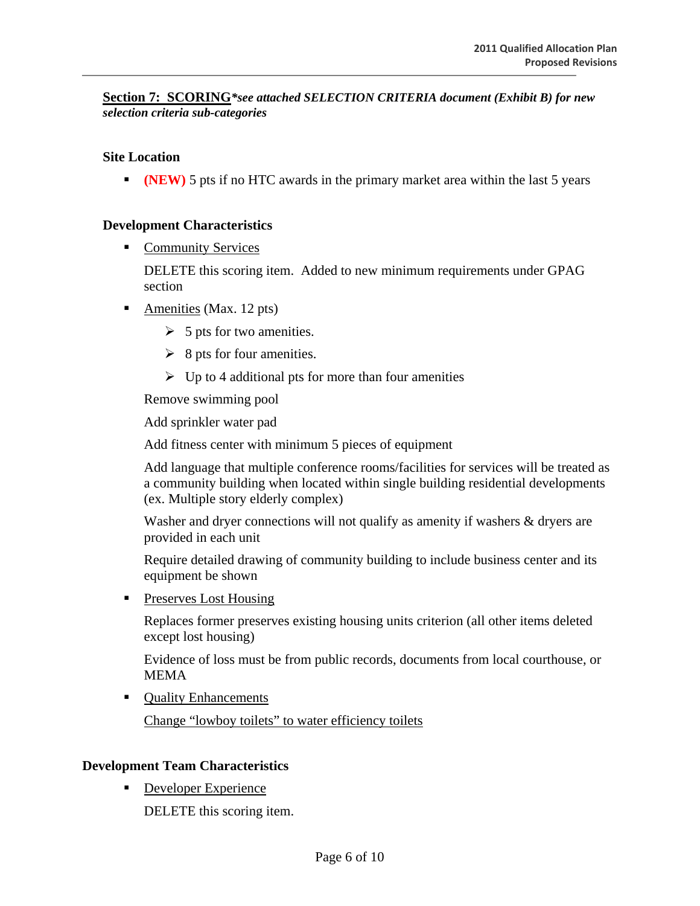**Section 7: SCORING***\*see attached SELECTION CRITERIA document (Exhibit B) for new selection criteria sub-categories*

#### **Site Location**

**(NEW)** 5 pts if no HTC awards in the primary market area within the last 5 years

#### **Development Characteristics**

**Community Services** 

DELETE this scoring item. Added to new minimum requirements under GPAG section

- Amenities (Max. 12 pts)
	- $\geq 5$  pts for two amenities.
	- $\geq$  8 pts for four amenities.
	- $\triangleright$  Up to 4 additional pts for more than four amenities

Remove swimming pool

Add sprinkler water pad

Add fitness center with minimum 5 pieces of equipment

Add language that multiple conference rooms/facilities for services will be treated as a community building when located within single building residential developments (ex. Multiple story elderly complex)

Washer and dryer connections will not qualify as amenity if washers & dryers are provided in each unit

Require detailed drawing of community building to include business center and its equipment be shown

**Preserves Lost Housing** 

Replaces former preserves existing housing units criterion (all other items deleted except lost housing)

Evidence of loss must be from public records, documents from local courthouse, or MEMA

**Quality Enhancements** 

Change "lowboy toilets" to water efficiency toilets

#### **Development Team Characteristics**

Developer Experience

DELETE this scoring item.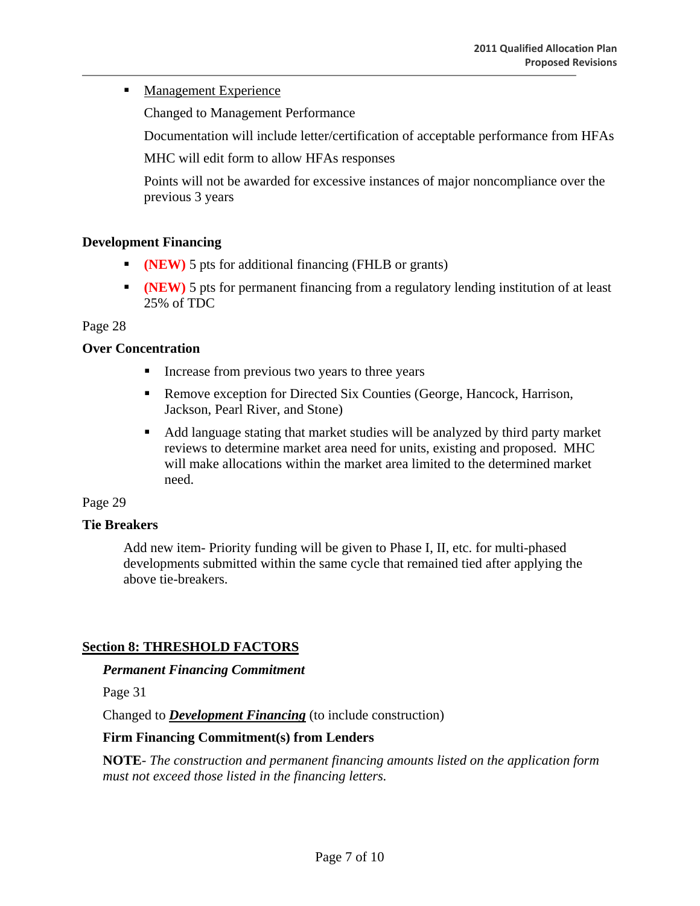# **Management Experience**

Changed to Management Performance

Documentation will include letter/certification of acceptable performance from HFAs

MHC will edit form to allow HFAs responses

Points will not be awarded for excessive instances of major noncompliance over the previous 3 years

# **Development Financing**

- **(NEW)** 5 pts for additional financing (FHLB or grants)
- **(NEW)** 5 pts for permanent financing from a regulatory lending institution of at least 25% of TDC

#### Page 28

# **Over Concentration**

- Increase from previous two years to three years
- Remove exception for Directed Six Counties (George, Hancock, Harrison, Jackson, Pearl River, and Stone)
- Add language stating that market studies will be analyzed by third party market reviews to determine market area need for units, existing and proposed. MHC will make allocations within the market area limited to the determined market need.

# Page 29

# **Tie Breakers**

Add new item- Priority funding will be given to Phase I, II, etc. for multi-phased developments submitted within the same cycle that remained tied after applying the above tie-breakers.

# **Section 8: THRESHOLD FACTORS**

#### *Permanent Financing Commitment*

Page 31

Changed to *Development Financing* (to include construction)

# **Firm Financing Commitment(s) from Lenders**

**NOTE***- The construction and permanent financing amounts listed on the application form must not exceed those listed in the financing letters.*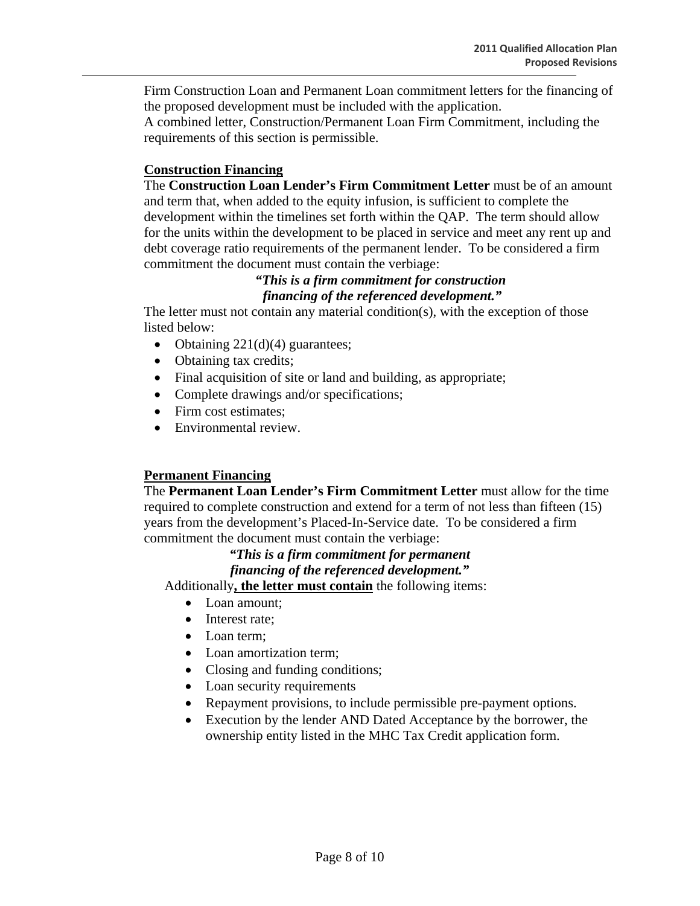Firm Construction Loan and Permanent Loan commitment letters for the financing of the proposed development must be included with the application.

A combined letter, Construction/Permanent Loan Firm Commitment, including the requirements of this section is permissible.

#### **Construction Financing**

The **Construction Loan Lender's Firm Commitment Letter** must be of an amount and term that, when added to the equity infusion, is sufficient to complete the development within the timelines set forth within the QAP. The term should allow for the units within the development to be placed in service and meet any rent up and debt coverage ratio requirements of the permanent lender. To be considered a firm commitment the document must contain the verbiage:

# *"This is a firm commitment for construction financing of the referenced development."*

The letter must not contain any material condition(s), with the exception of those listed below:

- Obtaining  $221(d)(4)$  guarantees;
- Obtaining tax credits;
- Final acquisition of site or land and building, as appropriate;
- Complete drawings and/or specifications;
- Firm cost estimates:
- Environmental review.

#### **Permanent Financing**

The **Permanent Loan Lender's Firm Commitment Letter** must allow for the time required to complete construction and extend for a term of not less than fifteen (15) years from the development's Placed-In-Service date. To be considered a firm commitment the document must contain the verbiage:

# *"This is a firm commitment for permanent*

# *financing of the referenced development."*

Additionally**, the letter must contain** the following items:

- Loan amount;
- Interest rate:
- Loan term;
- Loan amortization term:
- Closing and funding conditions;
- Loan security requirements
- Repayment provisions, to include permissible pre-payment options.
- Execution by the lender AND Dated Acceptance by the borrower, the ownership entity listed in the MHC Tax Credit application form.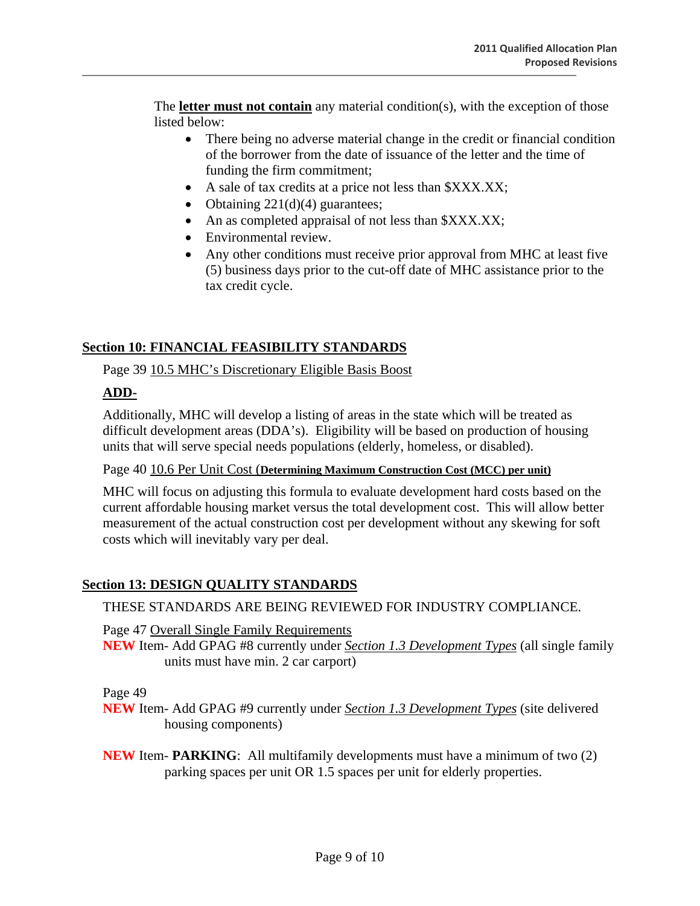The **letter must not contain** any material condition(s), with the exception of those listed below:

- There being no adverse material change in the credit or financial condition of the borrower from the date of issuance of the letter and the time of funding the firm commitment;
- A sale of tax credits at a price not less than \$XXX.XX;
- Obtaining  $221(d)(4)$  guarantees;
- An as completed appraisal of not less than  $\frac{X}{X}$ .
- Environmental review.
- Any other conditions must receive prior approval from MHC at least five (5) business days prior to the cut-off date of MHC assistance prior to the tax credit cycle.

# **Section 10: FINANCIAL FEASIBILITY STANDARDS**

Page 39 10.5 MHC's Discretionary Eligible Basis Boost

# **ADD-**

Additionally, MHC will develop a listing of areas in the state which will be treated as difficult development areas (DDA's). Eligibility will be based on production of housing units that will serve special needs populations (elderly, homeless, or disabled).

Page 40 10.6 Per Unit Cost (**Determining Maximum Construction Cost (MCC) per unit)**

MHC will focus on adjusting this formula to evaluate development hard costs based on the current affordable housing market versus the total development cost. This will allow better measurement of the actual construction cost per development without any skewing for soft costs which will inevitably vary per deal.

# **Section 13: DESIGN QUALITY STANDARDS**

THESE STANDARDS ARE BEING REVIEWED FOR INDUSTRY COMPLIANCE.

Page 47 Overall Single Family Requirements

**NEW** Item- Add GPAG #8 currently under *Section 1.3 Development Types* (all single family units must have min. 2 car carport)

Page 49

**NEW** Item- Add GPAG #9 currently under *Section 1.3 Development Types* (site delivered housing components)

**NEW** Item- **PARKING**: All multifamily developments must have a minimum of two (2) parking spaces per unit OR 1.5 spaces per unit for elderly properties.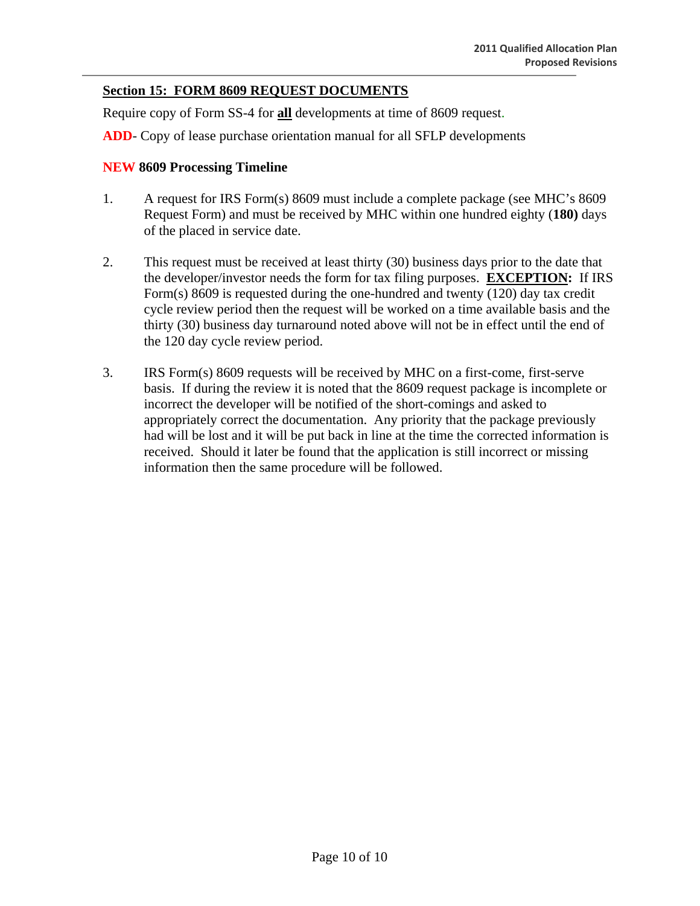# **Section 15: FORM 8609 REQUEST DOCUMENTS**

Require copy of Form SS-4 for **all** developments at time of 8609 request.

**ADD**- Copy of lease purchase orientation manual for all SFLP developments

#### **NEW 8609 Processing Timeline**

- 1. A request for IRS Form(s) 8609 must include a complete package (see MHC's 8609 Request Form) and must be received by MHC within one hundred eighty (**180)** days of the placed in service date.
- 2. This request must be received at least thirty (30) business days prior to the date that the developer/investor needs the form for tax filing purposes. **EXCEPTION:** If IRS Form(s) 8609 is requested during the one-hundred and twenty (120) day tax credit cycle review period then the request will be worked on a time available basis and the thirty (30) business day turnaround noted above will not be in effect until the end of the 120 day cycle review period.
- 3. IRS Form(s) 8609 requests will be received by MHC on a first-come, first-serve basis. If during the review it is noted that the 8609 request package is incomplete or incorrect the developer will be notified of the short-comings and asked to appropriately correct the documentation. Any priority that the package previously had will be lost and it will be put back in line at the time the corrected information is received. Should it later be found that the application is still incorrect or missing information then the same procedure will be followed.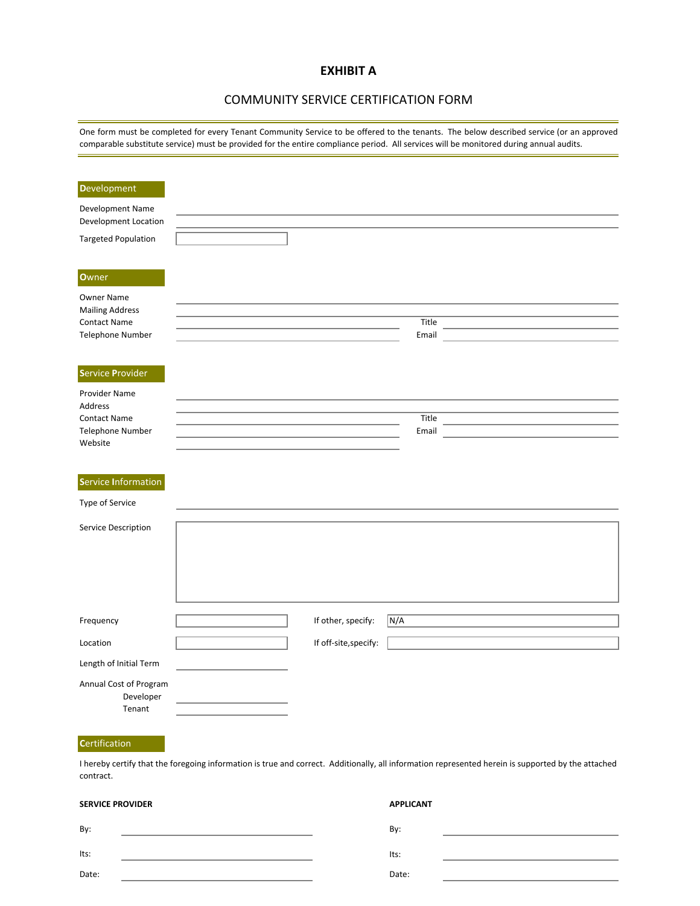#### **EXHIBIT A**

#### COMMUNITY SERVICE CERTIFICATION FORM

One form must be completed for every Tenant Community Service to be offered to the tenants. The below described service (or an approved comparable substitute service) must be provided for the entire compliance period. All services will be monitored during annual audits.

| <b>Development</b>                                                              |                       |                  |                                                                                                                                                    |
|---------------------------------------------------------------------------------|-----------------------|------------------|----------------------------------------------------------------------------------------------------------------------------------------------------|
| Development Name<br>Development Location                                        |                       |                  |                                                                                                                                                    |
| <b>Targeted Population</b>                                                      |                       |                  |                                                                                                                                                    |
|                                                                                 |                       |                  |                                                                                                                                                    |
| Owner                                                                           |                       |                  |                                                                                                                                                    |
| Owner Name<br><b>Mailing Address</b><br><b>Contact Name</b><br>Telephone Number |                       | Title<br>Email   |                                                                                                                                                    |
| <b>Service Provider</b>                                                         |                       |                  |                                                                                                                                                    |
| Provider Name                                                                   |                       |                  |                                                                                                                                                    |
| Address<br><b>Contact Name</b>                                                  |                       | Title            |                                                                                                                                                    |
| Telephone Number<br>Website                                                     |                       | Email            |                                                                                                                                                    |
|                                                                                 |                       |                  |                                                                                                                                                    |
| <b>Service Information</b>                                                      |                       |                  |                                                                                                                                                    |
| Type of Service                                                                 |                       |                  |                                                                                                                                                    |
| Service Description                                                             |                       |                  |                                                                                                                                                    |
| Frequency                                                                       | If other, specify:    | N/A              |                                                                                                                                                    |
| Location                                                                        | If off-site, specify: |                  |                                                                                                                                                    |
| Length of Initial Term                                                          |                       |                  |                                                                                                                                                    |
| Annual Cost of Program<br>Developer<br>Tenant                                   |                       |                  |                                                                                                                                                    |
| Certification                                                                   |                       |                  |                                                                                                                                                    |
| contract.                                                                       |                       |                  | I hereby certify that the foregoing information is true and correct. Additionally, all information represented herein is supported by the attached |
| <b>SERVICE PROVIDER</b>                                                         |                       | <b>APPLICANT</b> |                                                                                                                                                    |
| By:                                                                             |                       | By:              |                                                                                                                                                    |
| Its:                                                                            |                       | Its:             |                                                                                                                                                    |

Date:

Date: